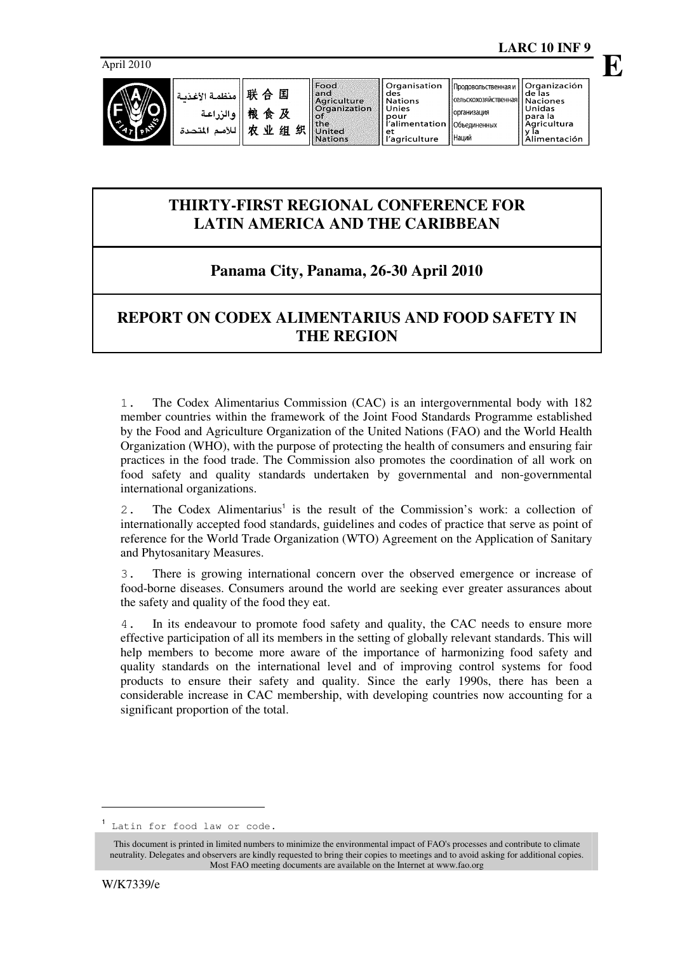April 2010



Наций

# **THIRTY-FIRST REGIONAL CONFERENCE FOR LATIN AMERICA AND THE CARIBBEAN**

### **Panama City, Panama, 26-30 April 2010**

# **REPORT ON CODEX ALIMENTARIUS AND FOOD SAFETY IN THE REGION**

1. The Codex Alimentarius Commission (CAC) is an intergovernmental body with 182 member countries within the framework of the Joint Food Standards Programme established by the Food and Agriculture Organization of the United Nations (FAO) and the World Health Organization (WHO), with the purpose of protecting the health of consumers and ensuring fair practices in the food trade. The Commission also promotes the coordination of all work on food safety and quality standards undertaken by governmental and non-governmental international organizations.

2. The Codex Alimentarius<sup>1</sup> is the result of the Commission's work: a collection of internationally accepted food standards, guidelines and codes of practice that serve as point of reference for the World Trade Organization (WTO) Agreement on the Application of Sanitary and Phytosanitary Measures.

3. There is growing international concern over the observed emergence or increase of food-borne diseases. Consumers around the world are seeking ever greater assurances about the safety and quality of the food they eat.

4. In its endeavour to promote food safety and quality, the CAC needs to ensure more effective participation of all its members in the setting of globally relevant standards. This will help members to become more aware of the importance of harmonizing food safety and quality standards on the international level and of improving control systems for food products to ensure their safety and quality. Since the early 1990s, there has been a considerable increase in CAC membership, with developing countries now accounting for a significant proportion of the total.

<sup>1</sup> Latin for food law or code.

This document is printed in limited numbers to minimize the environmental impact of FAO's processes and contribute to climate neutrality. Delegates and observers are kindly requested to bring their copies to meetings and to avoid asking for additional copies. Most FAO meeting documents are available on the Internet at www.fao.org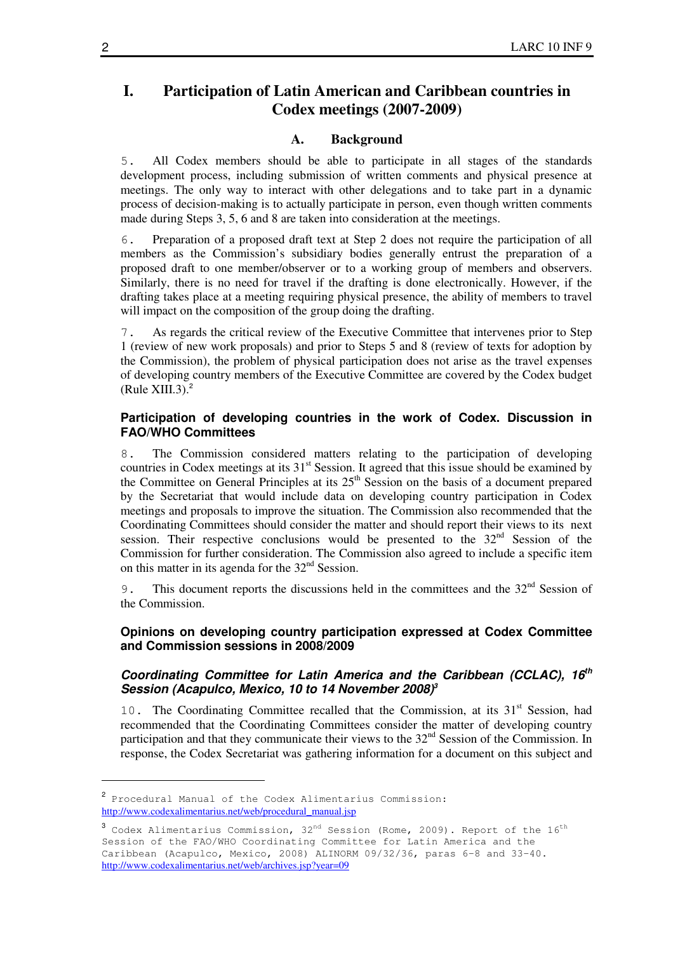### **I. Participation of Latin American and Caribbean countries in Codex meetings (2007-2009)**

#### **A. Background**

5. All Codex members should be able to participate in all stages of the standards development process, including submission of written comments and physical presence at meetings. The only way to interact with other delegations and to take part in a dynamic process of decision-making is to actually participate in person, even though written comments made during Steps 3, 5, 6 and 8 are taken into consideration at the meetings.

6. Preparation of a proposed draft text at Step 2 does not require the participation of all members as the Commission's subsidiary bodies generally entrust the preparation of a proposed draft to one member/observer or to a working group of members and observers. Similarly, there is no need for travel if the drafting is done electronically. However, if the drafting takes place at a meeting requiring physical presence, the ability of members to travel will impact on the composition of the group doing the drafting.

7. As regards the critical review of the Executive Committee that intervenes prior to Step 1 (review of new work proposals) and prior to Steps 5 and 8 (review of texts for adoption by the Commission), the problem of physical participation does not arise as the travel expenses of developing country members of the Executive Committee are covered by the Codex budget (Rule XIII.3). $<sup>2</sup>$ </sup>

#### **Participation of developing countries in the work of Codex. Discussion in FAO/WHO Committees**

8. The Commission considered matters relating to the participation of developing countries in Codex meetings at its  $31<sup>st</sup>$  Session. It agreed that this issue should be examined by the Committee on General Principles at its  $25<sup>th</sup>$  Session on the basis of a document prepared by the Secretariat that would include data on developing country participation in Codex meetings and proposals to improve the situation. The Commission also recommended that the Coordinating Committees should consider the matter and should report their views to its next session. Their respective conclusions would be presented to the  $32<sup>nd</sup>$  Session of the Commission for further consideration. The Commission also agreed to include a specific item on this matter in its agenda for the  $32<sup>nd</sup>$  Session.

9. This document reports the discussions held in the committees and the  $32<sup>nd</sup>$  Session of the Commission.

#### **Opinions on developing country participation expressed at Codex Committee and Commission sessions in 2008/2009**

#### **Coordinating Committee for Latin America and the Caribbean (CCLAC), 16th Session (Acapulco, Mexico, 10 to 14 November 2008)<sup>3</sup>**

10. The Coordinating Committee recalled that the Commission, at its  $31<sup>st</sup>$  Session, had recommended that the Coordinating Committees consider the matter of developing country participation and that they communicate their views to the  $32<sup>nd</sup>$  Session of the Commission. In response, the Codex Secretariat was gathering information for a document on this subject and

<sup>2</sup> Procedural Manual of the Codex Alimentarius Commission: http://www.codexalimentarius.net/web/procedural\_manual.jsp

 $^3$  Codex Alimentarius Commission, 32 $^{\rm nd}$  Session (Rome, 2009). Report of the  $16^{\rm th}$ Session of the FAO/WHO Coordinating Committee for Latin America and the Caribbean (Acapulco, Mexico, 2008) ALINORM 09/32/36, paras 6-8 and 33-40. http://www.codexalimentarius.net/web/archives.jsp?year=09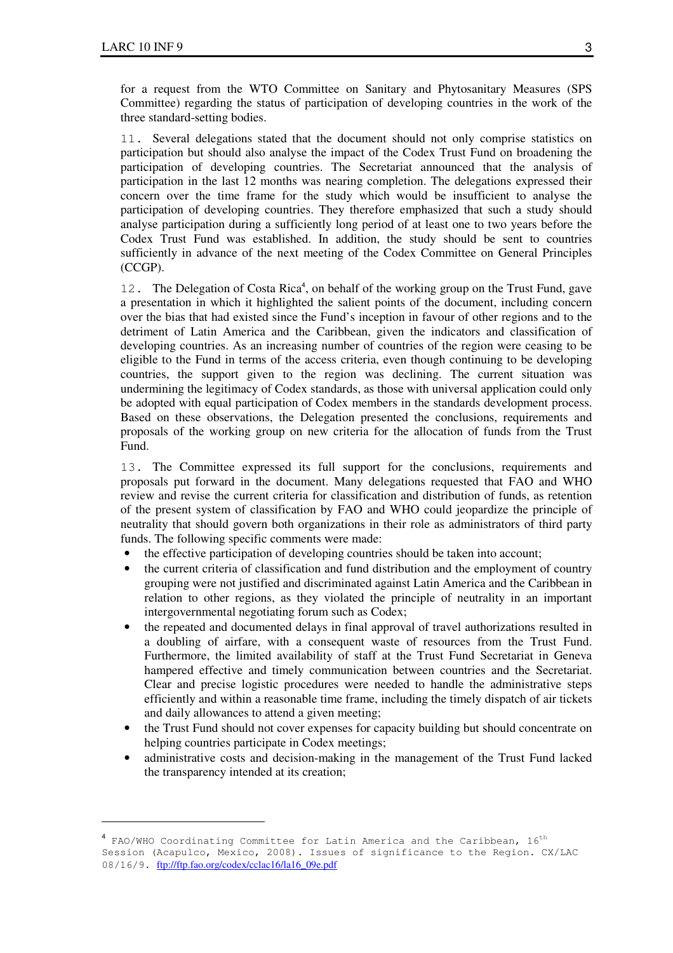$\overline{a}$ 

for a request from the WTO Committee on Sanitary and Phytosanitary Measures (SPS Committee) regarding the status of participation of developing countries in the work of the three standard-setting bodies.

11. Several delegations stated that the document should not only comprise statistics on participation but should also analyse the impact of the Codex Trust Fund on broadening the participation of developing countries. The Secretariat announced that the analysis of participation in the last 12 months was nearing completion. The delegations expressed their concern over the time frame for the study which would be insufficient to analyse the participation of developing countries. They therefore emphasized that such a study should analyse participation during a sufficiently long period of at least one to two years before the Codex Trust Fund was established. In addition, the study should be sent to countries sufficiently in advance of the next meeting of the Codex Committee on General Principles (CCGP).

12. The Delegation of Costa Rica<sup>4</sup>, on behalf of the working group on the Trust Fund, gave a presentation in which it highlighted the salient points of the document, including concern over the bias that had existed since the Fund's inception in favour of other regions and to the detriment of Latin America and the Caribbean, given the indicators and classification of developing countries. As an increasing number of countries of the region were ceasing to be eligible to the Fund in terms of the access criteria, even though continuing to be developing countries, the support given to the region was declining. The current situation was undermining the legitimacy of Codex standards, as those with universal application could only be adopted with equal participation of Codex members in the standards development process. Based on these observations, the Delegation presented the conclusions, requirements and proposals of the working group on new criteria for the allocation of funds from the Trust Fund.

13. The Committee expressed its full support for the conclusions, requirements and proposals put forward in the document. Many delegations requested that FAO and WHO review and revise the current criteria for classification and distribution of funds, as retention of the present system of classification by FAO and WHO could jeopardize the principle of neutrality that should govern both organizations in their role as administrators of third party funds. The following specific comments were made:

- the effective participation of developing countries should be taken into account;
- the current criteria of classification and fund distribution and the employment of country grouping were not justified and discriminated against Latin America and the Caribbean in relation to other regions, as they violated the principle of neutrality in an important intergovernmental negotiating forum such as Codex;
- the repeated and documented delays in final approval of travel authorizations resulted in a doubling of airfare, with a consequent waste of resources from the Trust Fund. Furthermore, the limited availability of staff at the Trust Fund Secretariat in Geneva hampered effective and timely communication between countries and the Secretariat. Clear and precise logistic procedures were needed to handle the administrative steps efficiently and within a reasonable time frame, including the timely dispatch of air tickets and daily allowances to attend a given meeting;
- the Trust Fund should not cover expenses for capacity building but should concentrate on helping countries participate in Codex meetings;
- administrative costs and decision-making in the management of the Trust Fund lacked the transparency intended at its creation;

 $^4$  FAO/WHO Coordinating Committee for Latin America and the Caribbean,  $16^{\rm th}$ Session (Acapulco, Mexico, 2008). Issues of significance to the Region. CX/LAC 08/16/9. ftp://ftp.fao.org/codex/cclac16/la16\_09e.pdf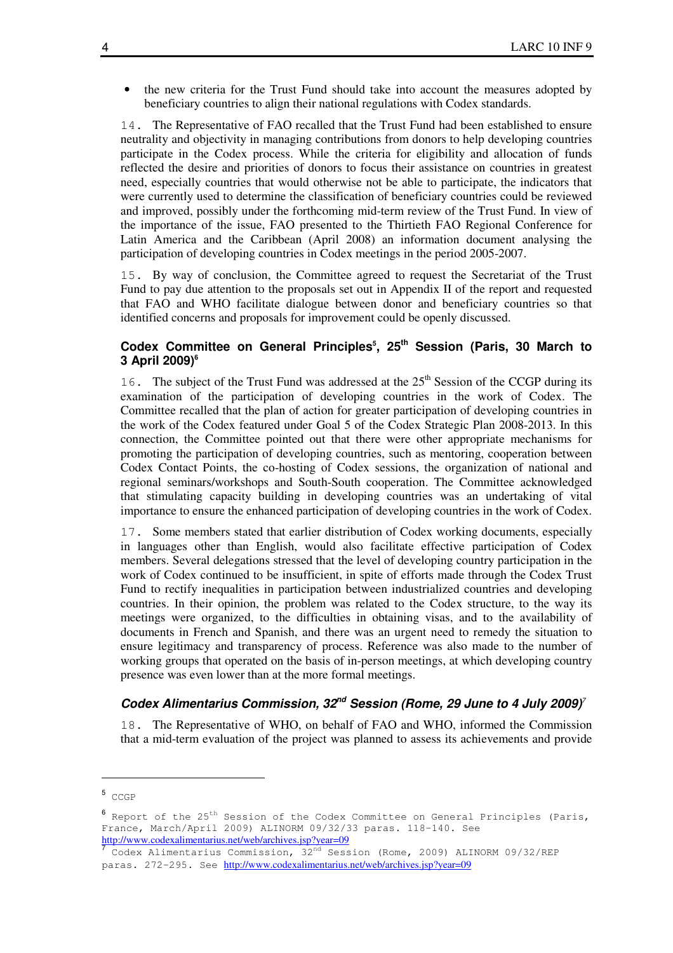• the new criteria for the Trust Fund should take into account the measures adopted by beneficiary countries to align their national regulations with Codex standards.

14. The Representative of FAO recalled that the Trust Fund had been established to ensure neutrality and objectivity in managing contributions from donors to help developing countries participate in the Codex process. While the criteria for eligibility and allocation of funds reflected the desire and priorities of donors to focus their assistance on countries in greatest need, especially countries that would otherwise not be able to participate, the indicators that were currently used to determine the classification of beneficiary countries could be reviewed and improved, possibly under the forthcoming mid-term review of the Trust Fund. In view of the importance of the issue, FAO presented to the Thirtieth FAO Regional Conference for Latin America and the Caribbean (April 2008) an information document analysing the participation of developing countries in Codex meetings in the period 2005-2007.

15. By way of conclusion, the Committee agreed to request the Secretariat of the Trust Fund to pay due attention to the proposals set out in Appendix II of the report and requested that FAO and WHO facilitate dialogue between donor and beneficiary countries so that identified concerns and proposals for improvement could be openly discussed.

#### **Codex Committee on General Principles<sup>5</sup> , 25th Session (Paris, 30 March to 3 April 2009)<sup>6</sup>**

16. The subject of the Trust Fund was addressed at the  $25<sup>th</sup>$  Session of the CCGP during its examination of the participation of developing countries in the work of Codex. The Committee recalled that the plan of action for greater participation of developing countries in the work of the Codex featured under Goal 5 of the Codex Strategic Plan 2008-2013. In this connection, the Committee pointed out that there were other appropriate mechanisms for promoting the participation of developing countries, such as mentoring, cooperation between Codex Contact Points, the co-hosting of Codex sessions, the organization of national and regional seminars/workshops and South-South cooperation. The Committee acknowledged that stimulating capacity building in developing countries was an undertaking of vital importance to ensure the enhanced participation of developing countries in the work of Codex.

17. Some members stated that earlier distribution of Codex working documents, especially in languages other than English, would also facilitate effective participation of Codex members. Several delegations stressed that the level of developing country participation in the work of Codex continued to be insufficient, in spite of efforts made through the Codex Trust Fund to rectify inequalities in participation between industrialized countries and developing countries. In their opinion, the problem was related to the Codex structure, to the way its meetings were organized, to the difficulties in obtaining visas, and to the availability of documents in French and Spanish, and there was an urgent need to remedy the situation to ensure legitimacy and transparency of process. Reference was also made to the number of working groups that operated on the basis of in-person meetings, at which developing country presence was even lower than at the more formal meetings.

#### **Codex Alimentarius Commission, 32nd Session (Rome, 29 June to 4 July 2009)**<sup>7</sup>

18. The Representative of WHO, on behalf of FAO and WHO, informed the Commission that a mid-term evaluation of the project was planned to assess its achievements and provide

<sup>5</sup> CCGP

 $^6$  Report of the 25<sup>th</sup> Session of the Codex Committee on General Principles (Paris, France, March/April 2009) ALINORM 09/32/33 paras. 118-140. See http://www.codexalimentarius.net/web/archives.jsp?year=09<br>7. Gadew Mismantarius. Germi aci ar. 20<sup>nd</sup>, Gaas

Codex Alimentarius Commission, 32<sup>nd</sup> Session (Rome, 2009) ALINORM 09/32/REP paras. 272-295. See http://www.codexalimentarius.net/web/archives.jsp?year=09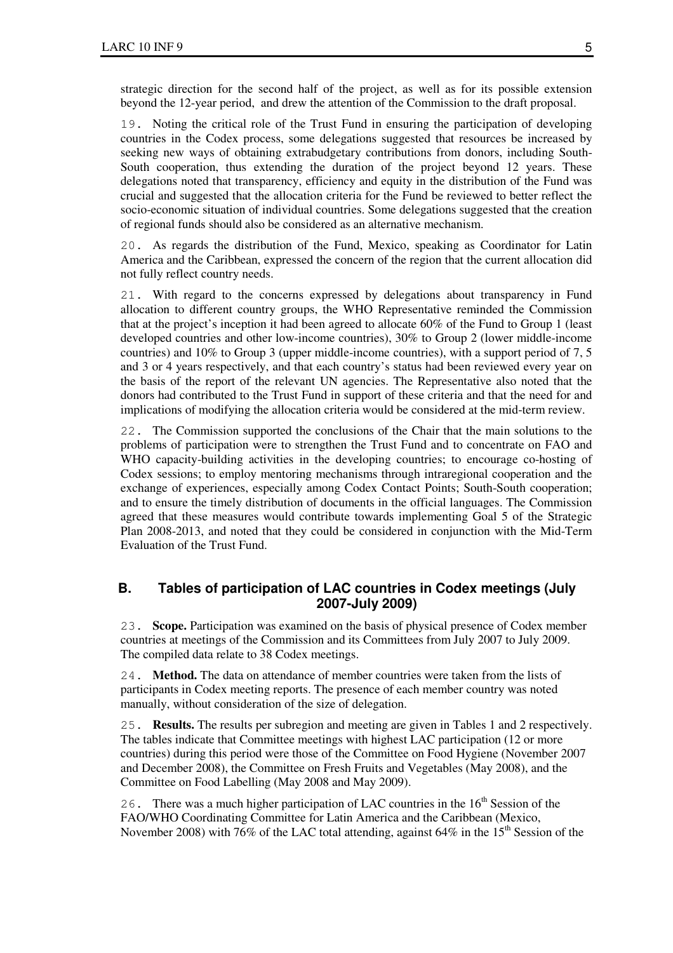strategic direction for the second half of the project, as well as for its possible extension beyond the 12-year period, and drew the attention of the Commission to the draft proposal.

19. Noting the critical role of the Trust Fund in ensuring the participation of developing countries in the Codex process, some delegations suggested that resources be increased by seeking new ways of obtaining extrabudgetary contributions from donors, including South-South cooperation, thus extending the duration of the project beyond 12 years. These delegations noted that transparency, efficiency and equity in the distribution of the Fund was crucial and suggested that the allocation criteria for the Fund be reviewed to better reflect the socio-economic situation of individual countries. Some delegations suggested that the creation of regional funds should also be considered as an alternative mechanism.

20. As regards the distribution of the Fund, Mexico, speaking as Coordinator for Latin America and the Caribbean, expressed the concern of the region that the current allocation did not fully reflect country needs.

21. With regard to the concerns expressed by delegations about transparency in Fund allocation to different country groups, the WHO Representative reminded the Commission that at the project's inception it had been agreed to allocate 60% of the Fund to Group 1 (least developed countries and other low-income countries), 30% to Group 2 (lower middle-income countries) and 10% to Group 3 (upper middle-income countries), with a support period of 7, 5 and 3 or 4 years respectively, and that each country's status had been reviewed every year on the basis of the report of the relevant UN agencies. The Representative also noted that the donors had contributed to the Trust Fund in support of these criteria and that the need for and implications of modifying the allocation criteria would be considered at the mid-term review.

22. The Commission supported the conclusions of the Chair that the main solutions to the problems of participation were to strengthen the Trust Fund and to concentrate on FAO and WHO capacity-building activities in the developing countries; to encourage co-hosting of Codex sessions; to employ mentoring mechanisms through intraregional cooperation and the exchange of experiences, especially among Codex Contact Points; South-South cooperation; and to ensure the timely distribution of documents in the official languages. The Commission agreed that these measures would contribute towards implementing Goal 5 of the Strategic Plan 2008-2013, and noted that they could be considered in conjunction with the Mid-Term Evaluation of the Trust Fund.

#### **B. Tables of participation of LAC countries in Codex meetings (July 2007-July 2009)**

23. **Scope.** Participation was examined on the basis of physical presence of Codex member countries at meetings of the Commission and its Committees from July 2007 to July 2009. The compiled data relate to 38 Codex meetings.

24. **Method.** The data on attendance of member countries were taken from the lists of participants in Codex meeting reports. The presence of each member country was noted manually, without consideration of the size of delegation.

25. **Results.** The results per subregion and meeting are given in Tables 1 and 2 respectively. The tables indicate that Committee meetings with highest LAC participation (12 or more countries) during this period were those of the Committee on Food Hygiene (November 2007 and December 2008), the Committee on Fresh Fruits and Vegetables (May 2008), and the Committee on Food Labelling (May 2008 and May 2009).

26. There was a much higher participation of LAC countries in the  $16<sup>th</sup>$  Session of the FAO/WHO Coordinating Committee for Latin America and the Caribbean (Mexico, November 2008) with 76% of the LAC total attending, against  $64\%$  in the 15<sup>th</sup> Session of the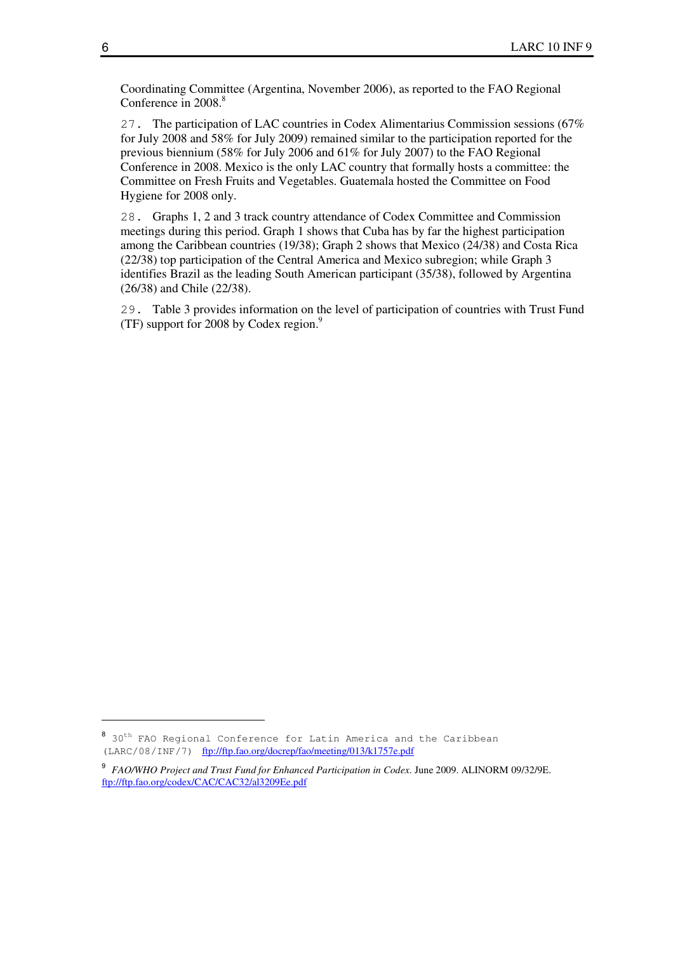Coordinating Committee (Argentina, November 2006), as reported to the FAO Regional Conference in 2008.<sup>8</sup>

27. The participation of LAC countries in Codex Alimentarius Commission sessions (67% for July 2008 and 58% for July 2009) remained similar to the participation reported for the previous biennium (58% for July 2006 and 61% for July 2007) to the FAO Regional Conference in 2008. Mexico is the only LAC country that formally hosts a committee: the Committee on Fresh Fruits and Vegetables. Guatemala hosted the Committee on Food Hygiene for 2008 only.

28. Graphs 1, 2 and 3 track country attendance of Codex Committee and Commission meetings during this period. Graph 1 shows that Cuba has by far the highest participation among the Caribbean countries (19/38); Graph 2 shows that Mexico (24/38) and Costa Rica (22/38) top participation of the Central America and Mexico subregion; while Graph 3 identifies Brazil as the leading South American participant (35/38), followed by Argentina (26/38) and Chile (22/38).

29. Table 3 provides information on the level of participation of countries with Trust Fund (TF) support for 2008 by Codex region.<sup>9</sup>

<sup>&</sup>lt;sup>8</sup> 30<sup>th</sup> FAO Regional Conference for Latin America and the Caribbean (LARC/08/INF/7) ftp://ftp.fao.org/docrep/fao/meeting/013/k1757e.pdf

<sup>9</sup> *FAO/WHO Project and Trust Fund for Enhanced Participation in Codex*. June 2009. ALINORM 09/32/9E. ftp://ftp.fao.org/codex/CAC/CAC32/al3209Ee.pdf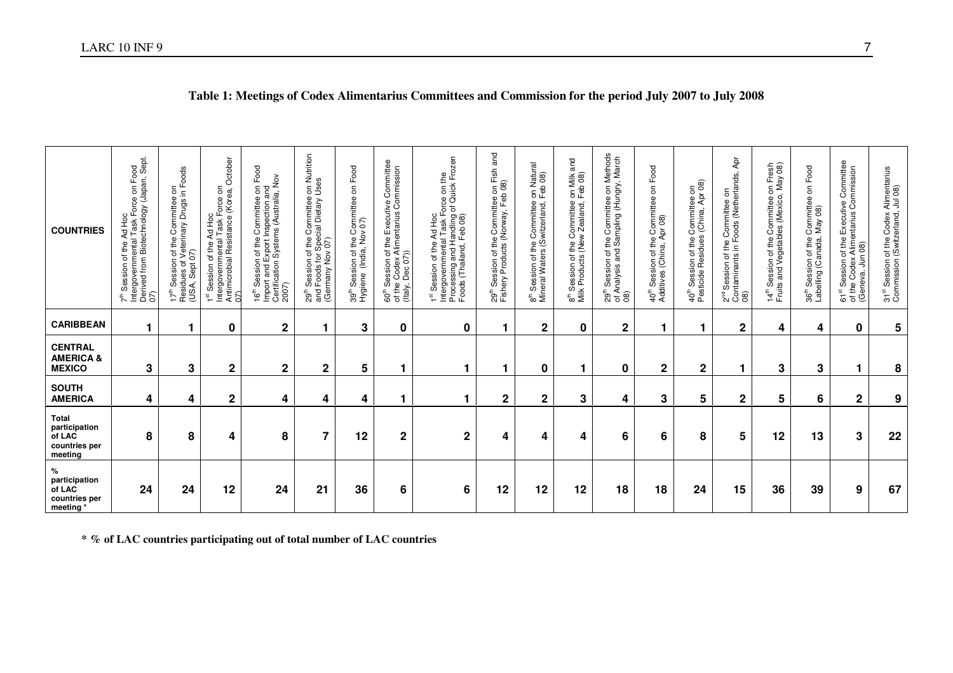| <b>COUNTRIES</b>                                                    | ուսցννεπmental Task Force on Food<br>Derived from Biotechnology (Japan, Sept.<br>07)<br>$\frac{6}{5}$<br>R<br>Session of the<br>$\bar{t}$ | a on<br>in Foods<br>of the Committee<br>Veterinary Drugs i<br>(USA, Sept 07)<br>Session<br>Residues of<br>$17^{\rm th}$ | October<br>۶,<br>1 <sup>st</sup> Session of the Ad Hoc<br>Intergovernmental Task Force on<br>Antimicrobial Resistance (Korea,<br>07 | Food<br>16 <sup>th</sup> Session of the Committee on Fo<br>Import and Export Inspection and<br>Certification Systems (Australia, Nov<br>2007) | e on Nutrition<br>Uses<br>on of the Committee c.<br>s for Special Dietary U<br>אלאי 207<br>Session of the C<br>Foods for Speci<br>and Foods<br>(Germany I<br>$29^{\text{th}}$ | on Food<br>39 <sup>th</sup> Session of the Committee<br>Hygiene (India, Nov 07) | of the Executive Committee<br>Alimentarius Commission<br>60 <sup>th</sup> Session of t<br>of the Codex Alii<br>(Italy, Dec 07)) | 1 <sup>st</sup> Session of the Ad Hoc<br>Intergovernmental Task Force on the<br>Processing and Handling of Quick Frozen<br>Foods (Thailand, Feb 08) | and<br>29 <sup>th</sup> Session of the Committee on Fish<br>Fishery Products (Norway, Feb 08) | g <sup>th</sup> Session of the Committee on Natural<br>Mineral Waters (Switzerland, Feb 08) | and<br>8 <sup>th</sup> Session of the Committee on Milk<br>Milk Products (New Zealand, Feb 08) | on Methods<br><sup>th</sup> Session of the Committee on Methods<br>Analysis and Sampling (Hungry, March<br>್ದೆ 4<br>ನಿ ಕ ® | 40 <sup>th</sup> Session of the Committee on Food<br>Additives (China, Apr 08) | 40 <sup>th</sup> Session of the Committee on<br>Pesticide Residues (China, Apr 08) | Ąpr<br>2 <sup>rd</sup> Session of the Committee on<br>Contaminants in Foods (Netherlands,<br>08) | Fresh<br>ay 08)<br>on Fre<br>14 <sup>th</sup> Session of the Committee of<br>Fruits and Vegetables (Mexico, | Committee on Food<br>May 08)<br>36 <sup>th</sup> Session of the<br>Labelling (Canada, | 61 <sup>st</sup> Session of the Executive Committee<br>of the Codex Alimentarius Commission<br>(Geneva, Jun 08) | 31 <sup>st</sup> Session of the Codex Alimentarius<br>Commission (Switzerland, Jul 08) |
|---------------------------------------------------------------------|-------------------------------------------------------------------------------------------------------------------------------------------|-------------------------------------------------------------------------------------------------------------------------|-------------------------------------------------------------------------------------------------------------------------------------|-----------------------------------------------------------------------------------------------------------------------------------------------|-------------------------------------------------------------------------------------------------------------------------------------------------------------------------------|---------------------------------------------------------------------------------|---------------------------------------------------------------------------------------------------------------------------------|-----------------------------------------------------------------------------------------------------------------------------------------------------|-----------------------------------------------------------------------------------------------|---------------------------------------------------------------------------------------------|------------------------------------------------------------------------------------------------|----------------------------------------------------------------------------------------------------------------------------|--------------------------------------------------------------------------------|------------------------------------------------------------------------------------|--------------------------------------------------------------------------------------------------|-------------------------------------------------------------------------------------------------------------|---------------------------------------------------------------------------------------|-----------------------------------------------------------------------------------------------------------------|----------------------------------------------------------------------------------------|
| <b>CARIBBEAN</b>                                                    | 1                                                                                                                                         |                                                                                                                         | 0                                                                                                                                   | $\mathbf 2$                                                                                                                                   |                                                                                                                                                                               | 3                                                                               | $\mathbf 0$                                                                                                                     | 0                                                                                                                                                   | 1                                                                                             | $\mathbf 2$                                                                                 | $\mathbf 0$                                                                                    | $\mathbf 2$                                                                                                                |                                                                                |                                                                                    | $\mathbf 2$                                                                                      | 4                                                                                                           | 4                                                                                     | 0                                                                                                               | 5                                                                                      |
| <b>CENTRAL</b><br><b>AMERICA &amp;</b><br><b>MEXICO</b>             | 3                                                                                                                                         | $\mathbf{3}$                                                                                                            | $\mathbf 2$                                                                                                                         | $\mathbf 2$                                                                                                                                   | $\mathbf{2}$                                                                                                                                                                  | 5                                                                               |                                                                                                                                 |                                                                                                                                                     | 1                                                                                             | 0                                                                                           |                                                                                                | 0                                                                                                                          | $\mathbf{2}$                                                                   | $\mathbf 2$                                                                        | 1                                                                                                | 3                                                                                                           | 3                                                                                     | 1                                                                                                               | 8                                                                                      |
| <b>SOUTH</b><br><b>AMERICA</b>                                      | 4                                                                                                                                         | 4                                                                                                                       | $\boldsymbol{2}$                                                                                                                    | 4                                                                                                                                             | 4                                                                                                                                                                             | 4                                                                               |                                                                                                                                 |                                                                                                                                                     | $\mathbf 2$                                                                                   | $\mathbf 2$                                                                                 | 3                                                                                              | 4                                                                                                                          | 3                                                                              | 5                                                                                  | $\mathbf 2$                                                                                      | 5                                                                                                           | 6                                                                                     | $\mathbf 2$                                                                                                     | 9                                                                                      |
| <b>Total</b><br>participation<br>of LAC<br>countries per<br>meeting | 8                                                                                                                                         | 8                                                                                                                       | 4                                                                                                                                   | 8                                                                                                                                             | $\overline{7}$                                                                                                                                                                | 12                                                                              | $\boldsymbol{2}$                                                                                                                | $\overline{\mathbf{c}}$                                                                                                                             | 4                                                                                             | 4                                                                                           | 4                                                                                              | 6                                                                                                                          | 6                                                                              | 8                                                                                  | 5                                                                                                | 12                                                                                                          | 13                                                                                    | 3                                                                                                               | 22                                                                                     |
| $\%$<br>participation<br>of LAC<br>countries per<br>meeting*        | 24                                                                                                                                        | 24                                                                                                                      | 12                                                                                                                                  | 24                                                                                                                                            | 21                                                                                                                                                                            | 36                                                                              | 6                                                                                                                               | 6                                                                                                                                                   | 12                                                                                            | 12                                                                                          | 12                                                                                             | 18                                                                                                                         | 18                                                                             | 24                                                                                 | 15                                                                                               | 36                                                                                                          | 39                                                                                    | 9                                                                                                               | 67                                                                                     |

### **Table 1: Meetings of Codex Alimentarius Committees and Commission for the period July 2007 to July 2008**

**\* % of LAC countries participating out of total number of LAC countries**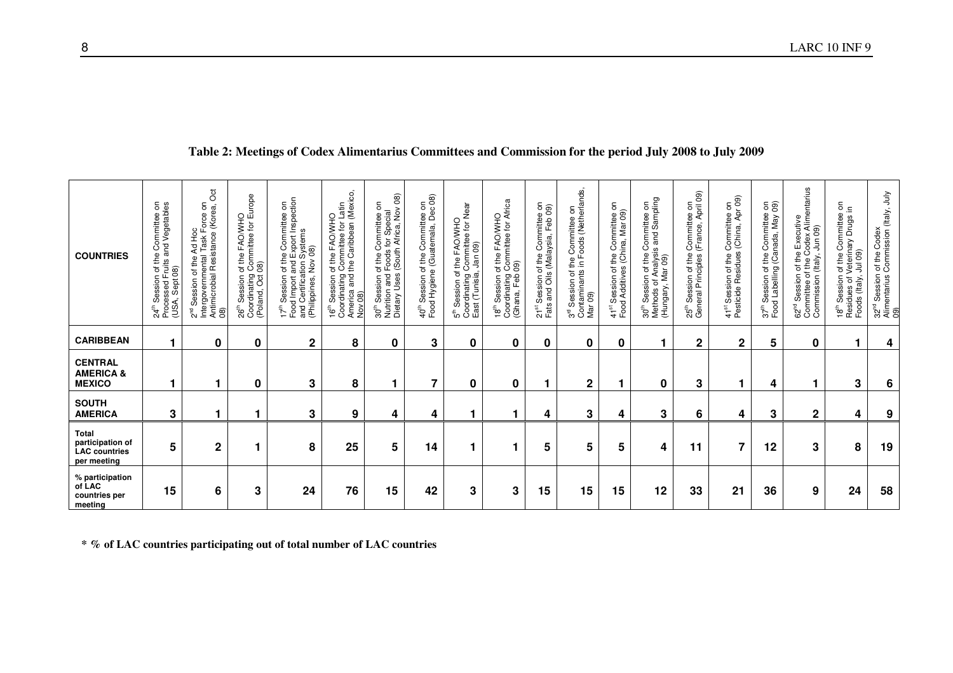| Table 2: Meetings of Codex Alimentarius Committees and Commission for the period July 2008 to July 2009 |
|---------------------------------------------------------------------------------------------------------|
|---------------------------------------------------------------------------------------------------------|

| % participation<br>of LAC<br>countries per<br>meeting | Total<br>participation of<br><b>LAC</b> countries<br>per meeting | <b>SOUTH</b><br><b>AMERICA</b> | <b>CENTRAL</b><br><b>AMERICA &amp;</b><br><b>MEXICO</b> | <b>CARIBBEAN</b> | <b>COUNTRIES</b>                                                                                                                                                                                                                                                                                                                                                                                                                                                                                                                                                                            |
|-------------------------------------------------------|------------------------------------------------------------------|--------------------------------|---------------------------------------------------------|------------------|---------------------------------------------------------------------------------------------------------------------------------------------------------------------------------------------------------------------------------------------------------------------------------------------------------------------------------------------------------------------------------------------------------------------------------------------------------------------------------------------------------------------------------------------------------------------------------------------|
| 15                                                    | 5                                                                | 3                              |                                                         | ٠                | 24 <sup>th</sup> Session of the Committee on<br>Processed Fruits and Vegetables<br>(USA, Sept 08)                                                                                                                                                                                                                                                                                                                                                                                                                                                                                           |
| 6                                                     | $\overline{2}$                                                   |                                |                                                         | $\bf{0}$         | $\rm \ddot{\rm 8}$<br>$\mathsf{S}% _{T}=\mathsf{S}_{T}\!\left( a,b\right) ,\mathsf{S}_{T}=\mathsf{S}_{T}\!\left( a,b\right) ,\mathsf{S}_{T}=\mathsf{S}_{T}\!\left( a,b\right) ,\mathsf{S}_{T}=\mathsf{S}_{T}\!\left( a,b\right) ,\mathsf{S}_{T}=\mathsf{S}_{T}\!\left( a,b\right) ,\mathsf{S}_{T}=\mathsf{S}_{T}\!\left( a,b\right) ,\mathsf{S}_{T}=\mathsf{S}_{T}\!\left( a,b\right) ,\mathsf{S}_{T}=\mathsf{S}_{T}\!\left( a,b\right) ,\mathsf{S}_{T}=\mathsf{S}_{T}\!\left$<br>∠ ⊤ Session of the Ad Hoc<br>Intergovernmental Task Force on<br>Antimicrobial Resistance (Korea, C<br>08) |
| 3                                                     |                                                                  |                                | 0                                                       | $\bf{0}$         | Session of the FAO/WHO<br>rdinating Committee for Europe<br>and, Oct 08)<br>Coordinating (<br>(Poland, Oct (<br>$26^{\text{th}}$                                                                                                                                                                                                                                                                                                                                                                                                                                                            |
| 24                                                    | 8                                                                | 3                              | 3                                                       | $\mathbf{2}$     | 17 <sup>th</sup> Session of the Committee on<br>Food Import and Export Inspection<br>and Certification Systems<br>(Philippines, Nov 08)                                                                                                                                                                                                                                                                                                                                                                                                                                                     |
| 76                                                    | 25                                                               | 9                              | 8                                                       | 8                | Coordinating Committee for Latin<br>America and the Caribbean (Mexico,<br>Nov 08)<br>16 <sup>th</sup> Session of the FAO/WHO                                                                                                                                                                                                                                                                                                                                                                                                                                                                |
| 15                                                    | 5                                                                | 4                              | 1                                                       | 0                | 30 <sup>th</sup> Session of the Committee on<br>Nutrition and Foods for Special<br>Dietary Uses (South Africa, Nov 08)                                                                                                                                                                                                                                                                                                                                                                                                                                                                      |
| 42                                                    | 14                                                               | 4                              | $\overline{7}$                                          | 3                | 40 <sup>th</sup> Session of the Committee on<br>Food Hygiene (Guatemala, Dec 08)                                                                                                                                                                                                                                                                                                                                                                                                                                                                                                            |
| 3                                                     |                                                                  |                                | $\bf{0}$                                                | 0                | of the FAO/WHO<br>g Committee for Near<br>a, Jan 09)<br>5 <sup>th</sup> Session of t<br>Coordinating C<br>East (Tunisia,                                                                                                                                                                                                                                                                                                                                                                                                                                                                    |
| 3                                                     |                                                                  |                                | 0                                                       | 0                | Committee for Africa<br>09)<br>FAO/WHO<br>Session of the<br>Coordinating (<br>(Ghana, Feb (<br>$18^{\rm th}$                                                                                                                                                                                                                                                                                                                                                                                                                                                                                |
| 15                                                    | 5                                                                | 4                              | 1                                                       | 0                | 21 <sup>st</sup> Session of the Committee on<br>Fats and Oils (Malaysia, Feb 09)                                                                                                                                                                                                                                                                                                                                                                                                                                                                                                            |
| 15                                                    | 5                                                                | 3                              | $\mathbf 2$                                             | 0                | 3 <sup>rd</sup> Session of the Committee on<br>Contaminants in Foods (Netherlands,<br>Mar 09)                                                                                                                                                                                                                                                                                                                                                                                                                                                                                               |
| 15                                                    | 5                                                                | 4                              |                                                         | 0                | g<br>41 <sup>st</sup> Session of the Committee of Food Additives (China, Mar 09)                                                                                                                                                                                                                                                                                                                                                                                                                                                                                                            |
| 12                                                    | 4                                                                | 3                              | 0                                                       |                  | 30 <sup>th</sup> Session of the Committee on<br>Methods of Analysis and Sampling<br>(Hungary, Mar 09)                                                                                                                                                                                                                                                                                                                                                                                                                                                                                       |
| 33                                                    | 11                                                               | 6                              | 3                                                       | $\mathbf{2}$     | 25 <sup>th</sup> Session of the Committee on<br>General Principles (France, April 09)                                                                                                                                                                                                                                                                                                                                                                                                                                                                                                       |
| 21                                                    | 7                                                                | 4                              | 1                                                       | $\mathbf 2$      | the Committee on<br>dues (China, Apr 09)<br>41 <sup>st</sup> Session of the C<br>Pesticide Residues                                                                                                                                                                                                                                                                                                                                                                                                                                                                                         |
| 36                                                    | 12                                                               | 3                              | 4                                                       | 5                | 37 <sup>th</sup> Session of the Committee on<br>Food Labelling (Canada, May 09)                                                                                                                                                                                                                                                                                                                                                                                                                                                                                                             |
| 9                                                     | 3                                                                | $\mathbf 2$                    |                                                         | 0                | Committee of the Codex Alimentarius<br>Commission (Italy, Jun 09)<br>Session of the Executive<br>62 <sup>nd</sup>                                                                                                                                                                                                                                                                                                                                                                                                                                                                           |
| 24                                                    | 8                                                                | 4                              | 3                                                       |                  | g<br>Ξ.<br>18 <sup>th</sup> Session of the Committee<br>Residues of Veterinary Drugs i<br>Foods (Italy, Jul 09)                                                                                                                                                                                                                                                                                                                                                                                                                                                                             |
| 58                                                    | 19                                                               | 9                              | 6                                                       | 4                | 32 <sup>nd</sup> Session of the Codex<br>Alimentarius Commission (Italy, July<br>(9)                                                                                                                                                                                                                                                                                                                                                                                                                                                                                                        |

**\* % of LAC countries participating out of total number of LAC countries**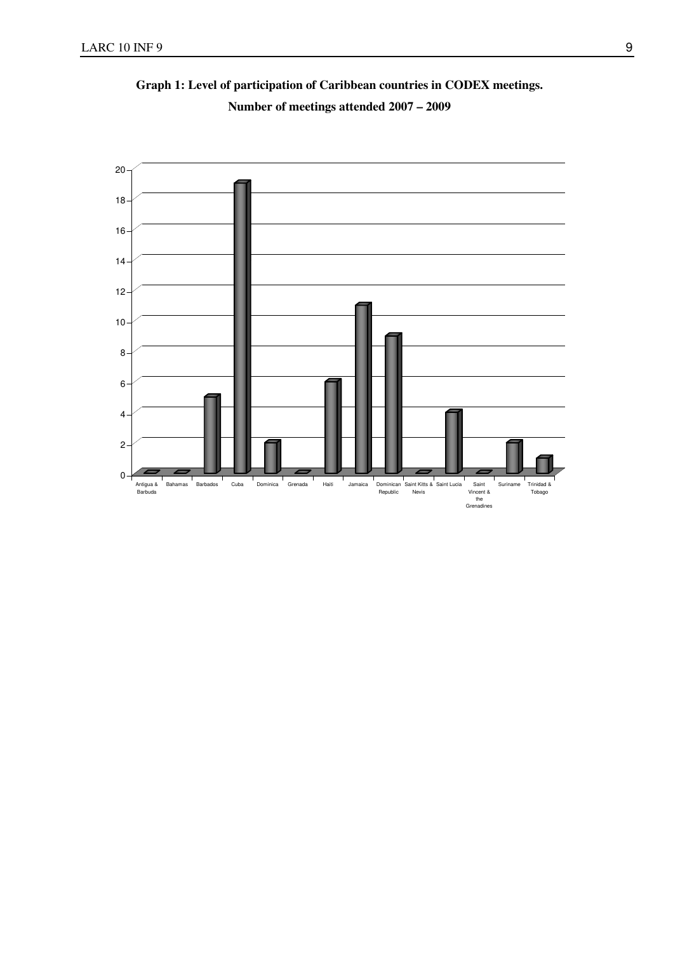

**Graph 1: Level of participation of Caribbean countries in CODEX meetings. Number of meetings attended 2007 – 2009**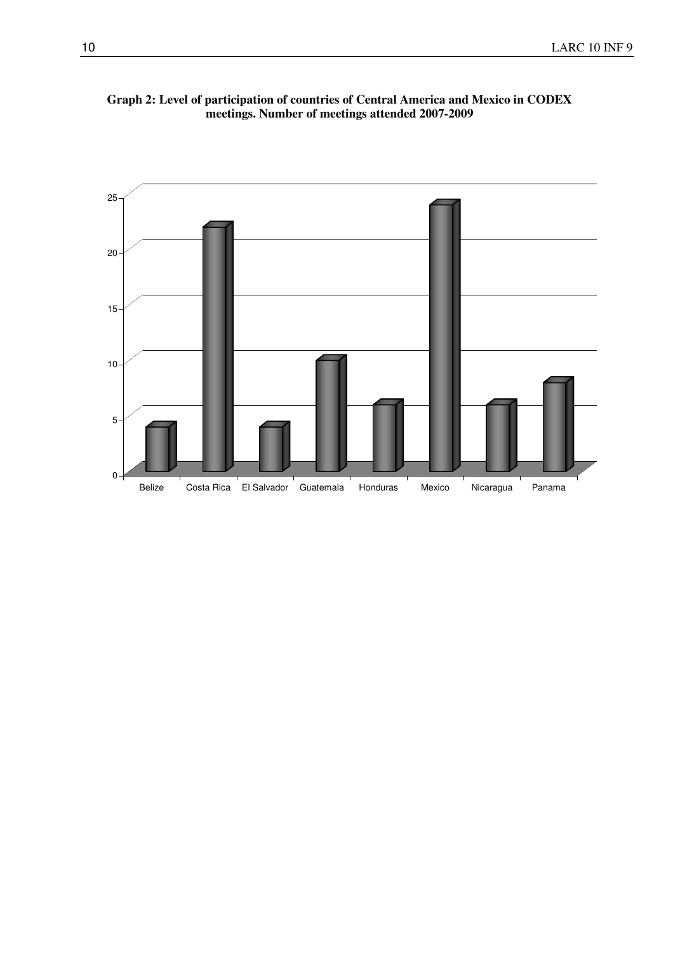

**Graph 2: Level of participation of countries of Central America and Mexico in CODEX meetings. Number of meetings attended 2007-2009**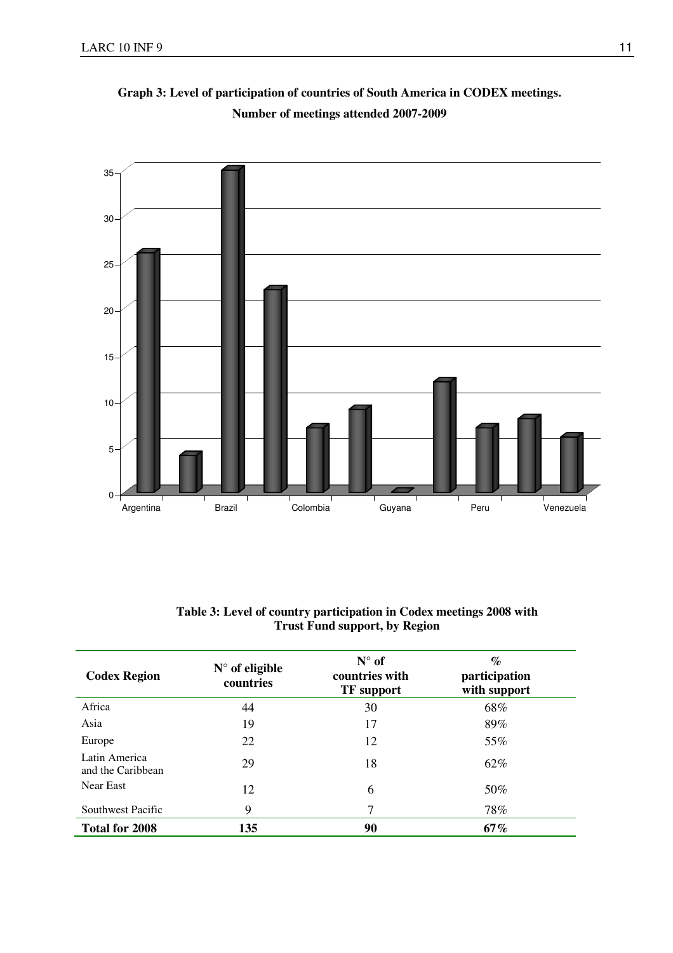

**Graph 3: Level of participation of countries of South America in CODEX meetings. Number of meetings attended 2007-2009** 

| Table 3: Level of country participation in Codex meetings 2008 with |  |
|---------------------------------------------------------------------|--|
| <b>Trust Fund support, by Region</b>                                |  |

| <b>Codex Region</b>                | $N^{\circ}$ of eligible<br>countries | $N^{\circ}$ of<br>countries with<br><b>TF</b> support | $\%$<br>participation<br>with support |
|------------------------------------|--------------------------------------|-------------------------------------------------------|---------------------------------------|
| Africa                             | 44                                   | 30                                                    | 68%                                   |
| Asia                               | 19                                   | 17                                                    | 89%                                   |
| Europe                             | 22                                   | 12                                                    | 55%                                   |
| Latin America<br>and the Caribbean | 29                                   | 18                                                    | 62%                                   |
| Near East                          | 12                                   | 6                                                     | 50%                                   |
| Southwest Pacific                  | 9                                    | 7                                                     | 78%                                   |
| <b>Total for 2008</b>              | 135                                  | 90                                                    | 67%                                   |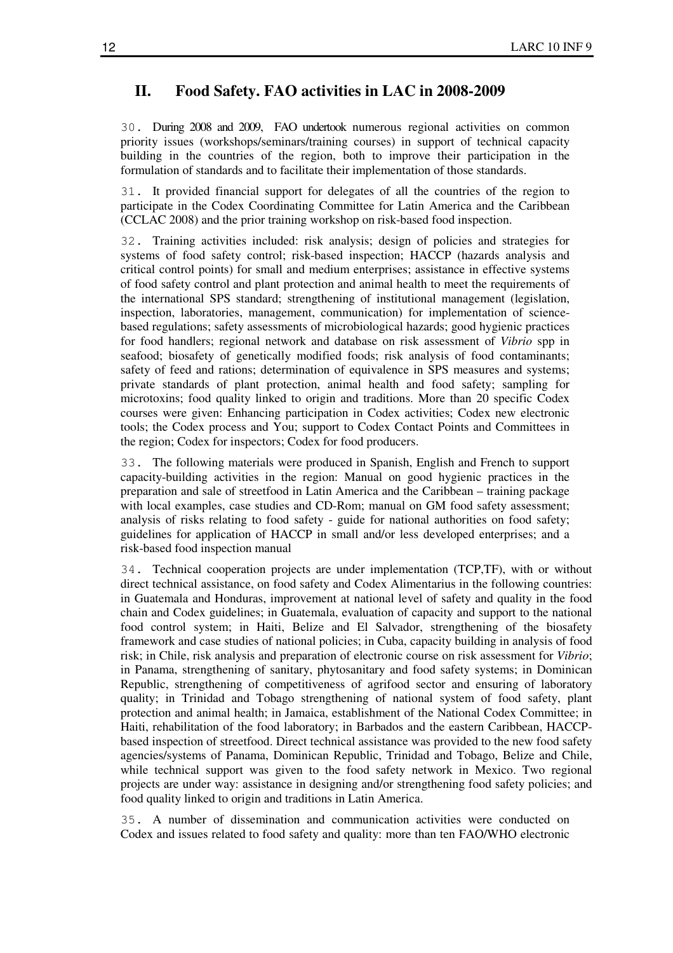### **II. Food Safety. FAO activities in LAC in 2008-2009**

30. During 2008 and 2009, FAO undertook numerous regional activities on common priority issues (workshops/seminars/training courses) in support of technical capacity building in the countries of the region, both to improve their participation in the formulation of standards and to facilitate their implementation of those standards.

31. It provided financial support for delegates of all the countries of the region to participate in the Codex Coordinating Committee for Latin America and the Caribbean (CCLAC 2008) and the prior training workshop on risk-based food inspection.

32. Training activities included: risk analysis; design of policies and strategies for systems of food safety control; risk-based inspection; HACCP (hazards analysis and critical control points) for small and medium enterprises; assistance in effective systems of food safety control and plant protection and animal health to meet the requirements of the international SPS standard; strengthening of institutional management (legislation, inspection, laboratories, management, communication) for implementation of sciencebased regulations; safety assessments of microbiological hazards; good hygienic practices for food handlers; regional network and database on risk assessment of *Vibrio* spp in seafood; biosafety of genetically modified foods; risk analysis of food contaminants; safety of feed and rations; determination of equivalence in SPS measures and systems; private standards of plant protection, animal health and food safety; sampling for microtoxins; food quality linked to origin and traditions. More than 20 specific Codex courses were given: Enhancing participation in Codex activities; Codex new electronic tools; the Codex process and You; support to Codex Contact Points and Committees in the region; Codex for inspectors; Codex for food producers.

33. The following materials were produced in Spanish, English and French to support capacity-building activities in the region: Manual on good hygienic practices in the preparation and sale of streetfood in Latin America and the Caribbean – training package with local examples, case studies and CD-Rom; manual on GM food safety assessment; analysis of risks relating to food safety - guide for national authorities on food safety; guidelines for application of HACCP in small and/or less developed enterprises; and a risk-based food inspection manual

34. Technical cooperation projects are under implementation (TCP,TF), with or without direct technical assistance, on food safety and Codex Alimentarius in the following countries: in Guatemala and Honduras, improvement at national level of safety and quality in the food chain and Codex guidelines; in Guatemala, evaluation of capacity and support to the national food control system; in Haiti, Belize and El Salvador, strengthening of the biosafety framework and case studies of national policies; in Cuba, capacity building in analysis of food risk; in Chile, risk analysis and preparation of electronic course on risk assessment for *Vibrio*; in Panama, strengthening of sanitary, phytosanitary and food safety systems; in Dominican Republic, strengthening of competitiveness of agrifood sector and ensuring of laboratory quality; in Trinidad and Tobago strengthening of national system of food safety, plant protection and animal health; in Jamaica, establishment of the National Codex Committee; in Haiti, rehabilitation of the food laboratory; in Barbados and the eastern Caribbean, HACCPbased inspection of streetfood. Direct technical assistance was provided to the new food safety agencies/systems of Panama, Dominican Republic, Trinidad and Tobago, Belize and Chile, while technical support was given to the food safety network in Mexico. Two regional projects are under way: assistance in designing and/or strengthening food safety policies; and food quality linked to origin and traditions in Latin America.

35. A number of dissemination and communication activities were conducted on Codex and issues related to food safety and quality: more than ten FAO/WHO electronic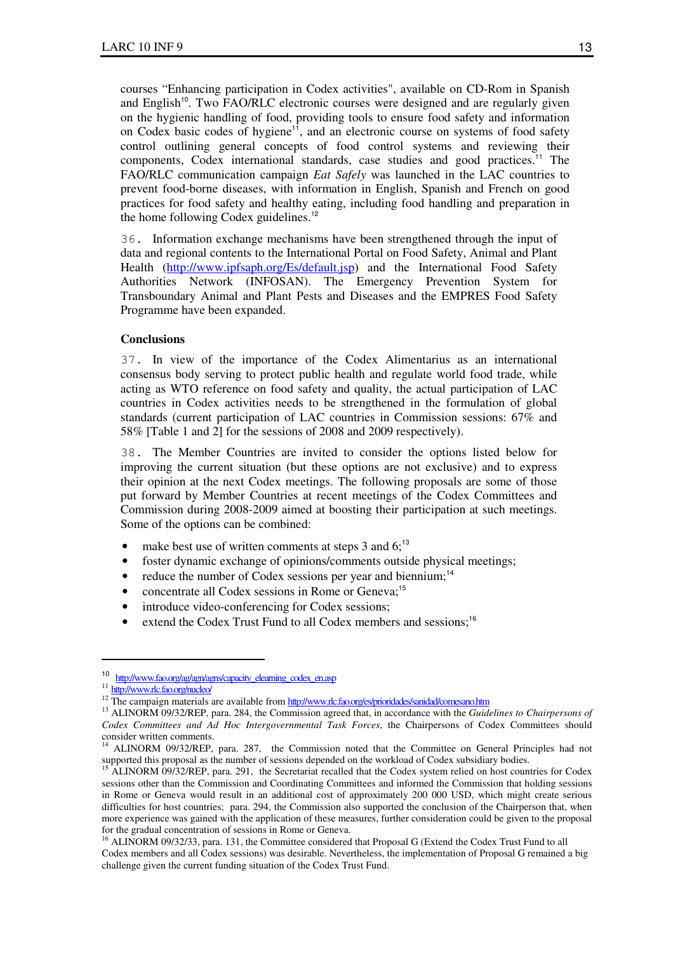courses "Enhancing participation in Codex activities", available on CD-Rom in Spanish and English<sup>10</sup>. Two FAO/RLC electronic courses were designed and are regularly given on the hygienic handling of food, providing tools to ensure food safety and information on Codex basic codes of hygiene<sup>11</sup>, and an electronic course on systems of food safety control outlining general concepts of food control systems and reviewing their components, Codex international standards, case studies and good practices.<sup>11</sup> The FAO/RLC communication campaign *Eat Safely* was launched in the LAC countries to prevent food-borne diseases, with information in English, Spanish and French on good practices for food safety and healthy eating, including food handling and preparation in the home following Codex guidelines.<sup>12</sup>

36. Information exchange mechanisms have been strengthened through the input of data and regional contents to the International Portal on Food Safety, Animal and Plant Health (http://www.ipfsaph.org/Es/default.jsp) and the International Food Safety Authorities Network (INFOSAN). The Emergency Prevention System for Transboundary Animal and Plant Pests and Diseases and the EMPRES Food Safety Programme have been expanded.

#### **Conclusions**

37. In view of the importance of the Codex Alimentarius as an international consensus body serving to protect public health and regulate world food trade, while acting as WTO reference on food safety and quality, the actual participation of LAC countries in Codex activities needs to be strengthened in the formulation of global standards (current participation of LAC countries in Commission sessions: 67% and 58% [Table 1 and 2] for the sessions of 2008 and 2009 respectively).

38. The Member Countries are invited to consider the options listed below for improving the current situation (but these options are not exclusive) and to express their opinion at the next Codex meetings. The following proposals are some of those put forward by Member Countries at recent meetings of the Codex Committees and Commission during 2008-2009 aimed at boosting their participation at such meetings. Some of the options can be combined:

- make best use of written comments at steps 3 and  $6$ ;<sup>13</sup>
- foster dynamic exchange of opinions/comments outside physical meetings;
- reduce the number of Codex sessions per year and biennium;<sup>14</sup>
- concentrate all Codex sessions in Rome or Geneva;<sup>15</sup>
- introduce video-conferencing for Codex sessions;
- extend the Codex Trust Fund to all Codex members and sessions;<sup>16</sup>

<sup>10</sup> http://www.fao.org/ag/agn/agns/capacity\_elearning\_codex\_en.asp

<sup>11</sup> http://www.rlc.fao.org/nucleo/

<sup>&</sup>lt;sup>12</sup> The campaign materials are available from http://www.rlc.fao.org/es/prioridades/sanidad/comesano.htm

<sup>13</sup> ALINORM 09/32/REP, para. 284, the Commission agreed that, in accordance with the *Guidelines to Chairpersons of Codex Committees and Ad Hoc Intergovernmental Task Forces*, the Chairpersons of Codex Committees should consider written comments.

<sup>14</sup> ALINORM 09/32/REP, para. 287, the Commission noted that the Committee on General Principles had not supported this proposal as the number of sessions depended on the workload of Codex subsidiary bodies.

<sup>&</sup>lt;sup>15</sup> ALINORM 09/32/REP, para. 291, the Secretariat recalled that the Codex system relied on host countries for Codex sessions other than the Commission and Coordinating Committees and informed the Commission that holding sessions in Rome or Geneva would result in an additional cost of approximately 200 000 USD, which might create serious difficulties for host countries; para. 294, the Commission also supported the conclusion of the Chairperson that, when more experience was gained with the application of these measures, further consideration could be given to the proposal for the gradual concentration of sessions in Rome or Geneva.

<sup>&</sup>lt;sup>16</sup> ALINORM 09/32/33, para. 131, the Committee considered that Proposal G (Extend the Codex Trust Fund to all Codex members and all Codex sessions) was desirable. Nevertheless, the implementation of Proposal G remained a big challenge given the current funding situation of the Codex Trust Fund.